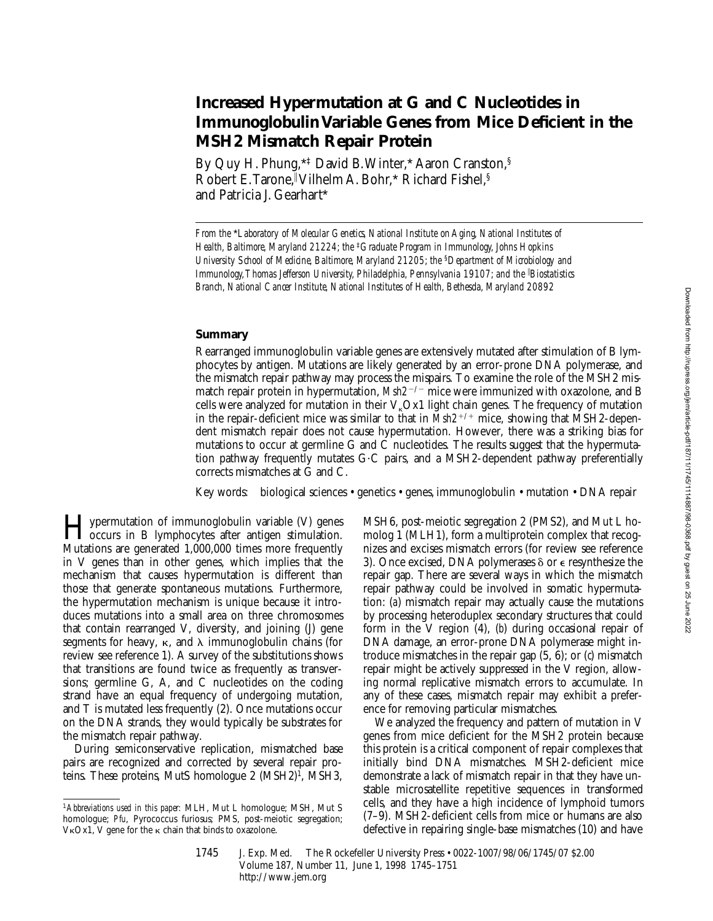# **Increased Hypermutation at G and C Nucleotides in Immunoglobulin Variable Genes from Mice Deficient in the MSH2 Mismatch Repair Protein**

By Quy H. Phung,\*‡ David B. Winter,\* Aaron Cranston,§ Robert E. Tarone, || Vilhelm A. Bohr, \* Richard Fishel, § and Patricia J. Gearhart\*

*From the* \**Laboratory of Molecular Genetics, National Institute on Aging, National Institutes of Health, Baltimore, Maryland 21224; the* ‡*Graduate Program in Immunology, Johns Hopkins University School of Medicine, Baltimore, Maryland 21205; the* §*Department of Microbiology and Immunology, Thomas Jefferson University, Philadelphia, Pennsylvania 19107; and the* <sup>i</sup> *Biostatistics Branch, National Cancer Institute, National Institutes of Health, Bethesda, Maryland 20892*

#### **Summary**

Rearranged immunoglobulin variable genes are extensively mutated after stimulation of B lymphocytes by antigen. Mutations are likely generated by an error-prone DNA polymerase, and the mismatch repair pathway may process the mispairs. To examine the role of the MSH2 mismatch repair protein in hypermutation,  $Msh2^{-/-}$  mice were immunized with oxazolone, and B cells were analyzed for mutation in their  $V<sub>k</sub>Ox1$  light chain genes. The frequency of mutation in the repair-deficient mice was similar to that in  $Msh2^{+/+}$  mice, showing that MSH2-dependent mismatch repair does not cause hypermutation. However, there was a striking bias for mutations to occur at germline G and C nucleotides. The results suggest that the hypermutation pathway frequently mutates  $G \cdot C$  pairs, and a MSH2-dependent pathway preferentially corrects mismatches at G and C.

Key words: biological sciences • genetics • genes, immunoglobulin • mutation • DNA repair

Hypermutation of immunoglobulin variable (V) genes occurs in B lymphocytes after antigen stimulation. Mutations are generated 1,000,000 times more frequently in V genes than in other genes, which implies that the mechanism that causes hypermutation is different than those that generate spontaneous mutations. Furthermore, the hypermutation mechanism is unique because it introduces mutations into a small area on three chromosomes that contain rearranged V, diversity, and joining (J) gene segments for heavy,  $\kappa$ , and  $\lambda$  immunoglobulin chains (for review see reference 1). A survey of the substitutions shows that transitions are found twice as frequently as transversions; germline G, A, and C nucleotides on the coding strand have an equal frequency of undergoing mutation, and T is mutated less frequently (2). Once mutations occur on the DNA strands, they would typically be substrates for the mismatch repair pathway.

During semiconservative replication, mismatched base pairs are recognized and corrected by several repair proteins. These proteins, MutS homologue 2 (MSH2)1, MSH3,

MSH6, post-meiotic segregation 2 (PMS2), and Mut L homolog 1 (MLH1), form a multiprotein complex that recognizes and excises mismatch errors (for review see reference 3). Once excised, DNA polymerases  $\delta$  or  $\epsilon$  resynthesize the repair gap. There are several ways in which the mismatch repair pathway could be involved in somatic hypermutation: (*a*) mismatch repair may actually cause the mutations by processing heteroduplex secondary structures that could form in the V region (4), (*b*) during occasional repair of DNA damage, an error-prone DNA polymerase might introduce mismatches in the repair gap (5, 6); or (*c*) mismatch repair might be actively suppressed in the V region, allowing normal replicative mismatch errors to accumulate. In any of these cases, mismatch repair may exhibit a preference for removing particular mismatches.

We analyzed the frequency and pattern of mutation in V genes from mice deficient for the MSH2 protein because this protein is a critical component of repair complexes that initially bind DNA mismatches. MSH2-deficient mice demonstrate a lack of mismatch repair in that they have unstable microsatellite repetitive sequences in transformed cells, and they have a high incidence of lymphoid tumors (7–9). MSH2-deficient cells from mice or humans are also defective in repairing single-base mismatches (10) and have

1745 J. Exp. Med. The Rockefeller University Press • 0022-1007/98/06/1745/07 \$2.00 Volume 187, Number 11, June 1, 1998 1745–1751 http://www.jem.org

<sup>1</sup>*Abbreviations used in this paper:* MLH, Mut L homologue; MSH, Mut S homologue; *Pfu*, Pyrococcus furiosus; PMS, post-meiotic segregation; V $\kappa$ Ox1, V gene for the  $\kappa$  chain that binds to oxazolone.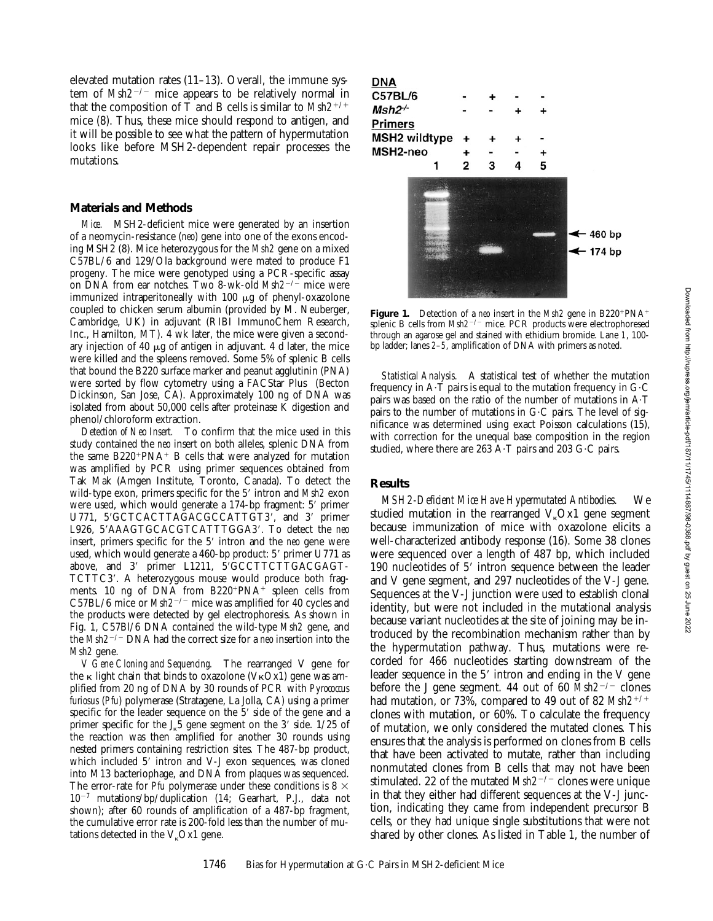elevated mutation rates (11–13). Overall, the immune system of *Msh2<sup>-/-</sup>* mice appears to be relatively normal in that the composition of T and B cells is similar to  $Msh2^{+/+}$ mice (8). Thus, these mice should respond to antigen, and it will be possible to see what the pattern of hypermutation looks like before MSH2-dependent repair processes the mutations.

### **Materials and Methods**

*Mice.* MSH2-deficient mice were generated by an insertion of a neomycin-resistance (*neo*) gene into one of the exons encoding MSH2 (8). Mice heterozygous for the *Msh2* gene on a mixed C57BL/6 and 129/Ola background were mated to produce F1 progeny. The mice were genotyped using a PCR-specific assay on DNA from ear notches. Two 8-wk-old *Msh2<sup>-/-</sup>* mice were immunized intraperitoneally with  $100 \mu g$  of phenyl-oxazolone coupled to chicken serum albumin (provided by M. Neuberger, Cambridge, UK) in adjuvant (RIBI ImmunoChem Research, Inc., Hamilton, MT). 4 wk later, the mice were given a secondary injection of 40  $\mu$ g of antigen in adjuvant. 4 d later, the mice were killed and the spleens removed. Some 5% of splenic B cells that bound the B220 surface marker and peanut agglutinin (PNA) were sorted by flow cytometry using a FACStar Plus<sup>®</sup> (Becton Dickinson, San Jose, CA). Approximately 100 ng of DNA was isolated from about 50,000 cells after proteinase K digestion and phenol/chloroform extraction.

*Detection of Neo Insert.* To confirm that the mice used in this study contained the *neo* insert on both alleles, splenic DNA from the same  $B220+PNA+B$  cells that were analyzed for mutation was amplified by PCR using primer sequences obtained from Tak Mak (Amgen Institute, Toronto, Canada). To detect the wild-type exon, primers specific for the 5' intron and *Msh2* exon were used, which would generate a 174-bp fragment: 5' primer U771, 5'GCTCACTTAGACGCCATTGT3', and 3' primer L926, 5'AAAGTGCACGTCATTTGGA3'. To detect the *neo* insert, primers specific for the 5' intron and the *neo* gene were used, which would generate a 460-bp product: 5' primer U771 as above, and 3' primer L1211, 5'GCCTTCTTGACGAGT-TCTTC3'. A heterozygous mouse would produce both fragments. 10 ng of DNA from  $B220+PNA$  spleen cells from C57BL/6 mice or  $Msh2^{-/-}$  mice was amplified for 40 cycles and the products were detected by gel electrophoresis. As shown in Fig. 1, C57Bl/6 DNA contained the wild-type *Msh2* gene, and the *Msh2<sup>-/-</sup>* DNA had the correct size for a *neo* insertion into the *Msh2* gene.

*V Gene Cloning and Sequencing.* The rearranged V gene for the  $\kappa$  light chain that binds to oxazolone (V $\kappa$ Ox1) gene was amplified from 20 ng of DNA by 30 rounds of PCR with *Pyrococcus furiosus* (*Pfu*) polymerase (Stratagene, La Jolla, CA) using a primer specific for the leader sequence on the 5' side of the gene and a primer specific for the  $J_{k}5$  gene segment on the 3' side.  $1/25$  of the reaction was then amplified for another 30 rounds using nested primers containing restriction sites. The 487-bp product, which included  $5'$  intron and V-J exon sequences, was cloned into M13 bacteriophage, and DNA from plaques was sequenced. The error-rate for *Pfu* polymerase under these conditions is 8  $\times$  $10^{-7}$  mutations/bp/duplication (14; Gearhart, P.J., data not shown); after 60 rounds of amplification of a 487-bp fragment, the cumulative error rate is 200-fold less than the number of mutations detected in the  $V_{k}Ox1$  gene.



**Figure 1.** Detection of a *neo* insert in the *Msh2* gene in  $B220^+PNA^+$ splenic B cells from *Msh2<sup>-/-</sup>* mice. PCR products were electrophoresed through an agarose gel and stained with ethidium bromide. Lane *1*, 100 bp ladder; lanes *2*–*5*, amplification of DNA with primers as noted.

*Statistical Analysis.* A statistical test of whether the mutation frequency in  $A \cdot T$  pairs is equal to the mutation frequency in  $G \cdot C$ pairs was based on the ratio of the number of mutations in  $A \cdot T$ pairs to the number of mutations in  $G \subset C$  pairs. The level of significance was determined using exact Poisson calculations (15), with correction for the unequal base composition in the region studied, where there are 263 A $\cdot$ T pairs and 203 G $\cdot$ C pairs.

## **Results**

*MSH2-Deficient Mice Have Hypermutated Antibodies.* We studied mutation in the rearranged  $V_{k}Ox1$  gene segment because immunization of mice with oxazolone elicits a well-characterized antibody response (16). Some 38 clones were sequenced over a length of 487 bp, which included 190 nucleotides of 5' intron sequence between the leader and V gene segment, and 297 nucleotides of the V-J gene. Sequences at the V-J junction were used to establish clonal identity, but were not included in the mutational analysis because variant nucleotides at the site of joining may be introduced by the recombination mechanism rather than by the hypermutation pathway. Thus, mutations were recorded for 466 nucleotides starting downstream of the leader sequence in the  $5'$  intron and ending in the V gene before the J gene segment. 44 out of 60  $Msh2^{-/-}$  clones had mutation, or 73%, compared to 49 out of 82 Msh2<sup>+/+</sup> clones with mutation, or 60%. To calculate the frequency of mutation, we only considered the mutated clones. This ensures that the analysis is performed on clones from B cells that have been activated to mutate, rather than including nonmutated clones from B cells that may not have been stimulated. 22 of the mutated  $Msh2^{-/-}$  clones were unique in that they either had different sequences at the V-J junction, indicating they came from independent precursor B cells, or they had unique single substitutions that were not shared by other clones. As listed in Table 1, the number of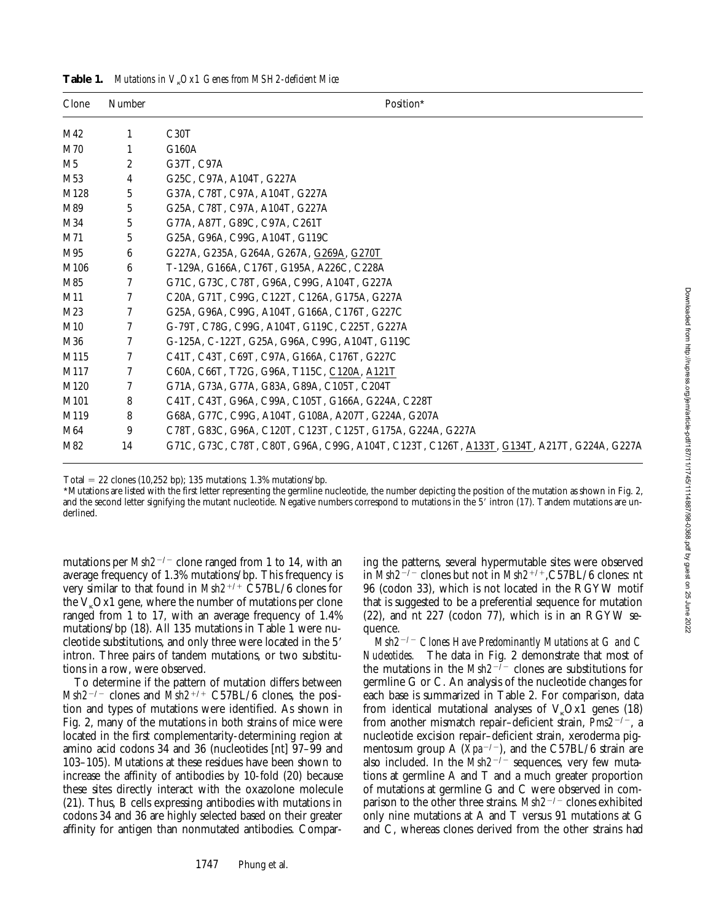| Clone           | Number         | Position*                                                                                  |
|-----------------|----------------|--------------------------------------------------------------------------------------------|
| M42             | 1              | C30T                                                                                       |
| M70             | 1              | G160A                                                                                      |
| M5              | $\overline{c}$ | G37T, C97A                                                                                 |
| M <sub>53</sub> | 4              | G25C, C97A, A104T, G227A                                                                   |
| M128            | 5              | G37A, C78T, C97A, A104T, G227A                                                             |
| M89             | 5              | G25A, C78T, C97A, A104T, G227A                                                             |
| M34             | 5              | G77A, A87T, G89C, C97A, C261T                                                              |
| M71             | 5              | G25A, G96A, C99G, A104T, G119C                                                             |
| M95             | 6              | G227A, G235A, G264A, G267A, G269A, G270T                                                   |
| M106            | 6              | T-129A, G166A, C176T, G195A, A226C, C228A                                                  |
| M85             | 7              | G71C, G73C, C78T, G96A, C99G, A104T, G227A                                                 |
| M11             | 7              | C20A, G71T, C99G, C122T, C126A, G175A, G227A                                               |
| M23             | 7              | G25A, G96A, C99G, A104T, G166A, C176T, G227C                                               |
| M10             | 7              | G-79T, C78G, C99G, A104T, G119C, C225T, G227A                                              |
| M36             | 7              | G-125A, C-122T, G25A, G96A, C99G, A104T, G119C                                             |
| M115            | 7              | C41T, C43T, C69T, C97A, G166A, C176T, G227C                                                |
| M117            | 7              | C60A, C66T, T72G, G96A, T115C, C120A, A121T                                                |
| M120            | 7              | G71A, G73A, G77A, G83A, G89A, C105T, C204T                                                 |
| M101            | 8              | C41T, C43T, G96A, C99A, C105T, G166A, G224A, C228T                                         |
| M119            | 8              | G68A, G77C, C99G, A104T, G108A, A207T, G224A, G207A                                        |
| M64             | 9              | C78T, G83C, G96A, C120T, C123T, C125T, G175A, G224A, G227A                                 |
| M82             | 14             | G71C, G73C, C78T, C80T, G96A, C99G, A104T, C123T, C126T, A133T, G134T, A217T, G224A, G227A |

**Table 1.** *Mutations in V*k*Ox1 Genes from MSH2-deficient Mice*

Total = 22 clones (10,252 bp); 135 mutations; 1.3% mutations/bp.

\*Mutations are listed with the first letter representing the germline nucleotide, the number depicting the position of the mutation as shown in Fig. 2, and the second letter signifying the mutant nucleotide. Negative numbers correspond to mutations in the 5' intron (17). Tandem mutations are underlined.

mutations per  $Msh2^{-/-}$  clone ranged from 1 to 14, with an average frequency of 1.3% mutations/bp. This frequency is very similar to that found in *Msh2<sup>+/+</sup>* C57BL/6 clones for the  $V_{k}Ox1$  gene, where the number of mutations per clone ranged from 1 to 17, with an average frequency of 1.4% mutations/bp (18). All 135 mutations in Table 1 were nucleotide substitutions, and only three were located in the 5' intron. Three pairs of tandem mutations, or two substitutions in a row, were observed.

To determine if the pattern of mutation differs between  $Msh2^{-/-}$  clones and  $Msh2^{+/+}$  C57BL/6 clones, the position and types of mutations were identified. As shown in Fig. 2, many of the mutations in both strains of mice were located in the first complementarity-determining region at amino acid codons 34 and 36 (nucleotides [nt] 97–99 and 103–105). Mutations at these residues have been shown to increase the affinity of antibodies by 10-fold (20) because these sites directly interact with the oxazolone molecule (21). Thus, B cells expressing antibodies with mutations in codons 34 and 36 are highly selected based on their greater affinity for antigen than nonmutated antibodies. Comparing the patterns, several hypermutable sites were observed in *Msh2<sup>-/-</sup>* clones but not in *Msh2<sup>+/+</sup>*,C57BL/6 clones: nt 96 (codon 33), which is not located in the RGYW motif that is suggested to be a preferential sequence for mutation (22), and nt 227 (codon 77), which is in an RGYW sequence.

*Msh2*<sup>2</sup>*/*<sup>2</sup> *Clones Have Predominantly Mutations at G and C Nucleotides.* The data in Fig. 2 demonstrate that most of the mutations in the  $Msh2^{-7-}$  clones are substitutions for germline G or C. An analysis of the nucleotide changes for each base is summarized in Table 2. For comparison, data from identical mutational analyses of  $V<sub>\kappa</sub> Ox1$  genes (18) from another mismatch repair-deficient strain, *Pms2<sup>-/-</sup>*, a nucleotide excision repair–deficient strain, xeroderma pigmentosum group A  $(Xpa^{-/-})$ , and the C57BL/6 strain are also included. In the *Msh2<sup>-/-</sup>* sequences, very few mutations at germline A and T and a much greater proportion of mutations at germline G and C were observed in comparison to the other three strains. *Msh2<sup>-/-</sup>* clones exhibited only nine mutations at A and T versus 91 mutations at G and C, whereas clones derived from the other strains had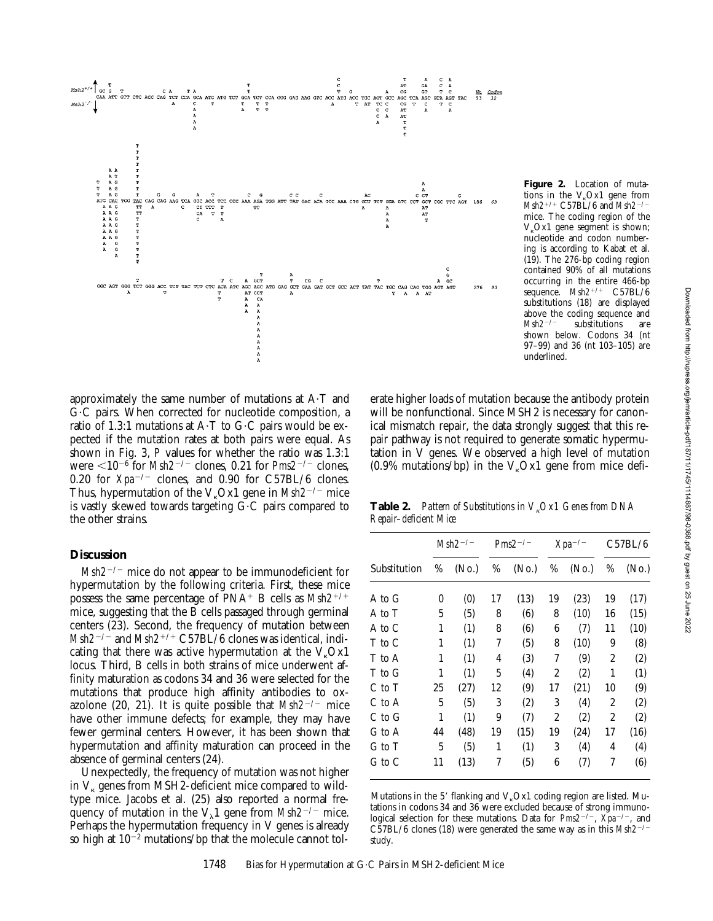

 $V_{k}$ Ox1 gene segment is shown; nucleotide and codon numbering is according to Kabat et al. (19). The 276-bp coding region contained 90% of all mutations occurring in the entire 466-bp sequence.  $Msh2^{+/+}$  C57BL/6 substitutions (18) are displayed above the coding sequence and  $Msh2^{-/-}$  substitutions are substitutions are shown below. Codons 34 (nt 97–99) and 36 (nt 103–105) are underlined.

**Figure 2.** Location of mutations in the  $V_{k}Ox1$  gene from *Msh2<sup>+/+</sup>* C57BL/6 and *Msh2<sup>-/</sup>* mice. The coding region of the

approximately the same number of mutations at  $A \cdot T$  and G?C pairs. When corrected for nucleotide composition, a ratio of 1.3:1 mutations at  $A \cdot T$  to  $G \cdot C$  pairs would be expected if the mutation rates at both pairs were equal. As shown in Fig. 3, *P* values for whether the ratio was 1.3:1 were  $\leq 10^{-6}$  for *Msh2<sup>-/-</sup>* clones, 0.21 for *Pms2<sup>-/-</sup>* clones, 0.20 for  $Xpa^{-/-}$  clones, and 0.90 for C57BL/6 clones. Thus, hypermutation of the  $V<sub>k</sub>Ox1$  gene in *Msh2<sup>-/-</sup>* mice is vastly skewed towards targeting  $G \cdot C$  pairs compared to the other strains.

## **Discussion**

 $Msh2^{-/-}$  mice do not appear to be immunodeficient for hypermutation by the following criteria. First, these mice possess the same percentage of  $PNA^+$  B cells as  $Msh2^{+/+}$ mice, suggesting that the B cells passaged through germinal centers (23). Second, the frequency of mutation between *Msh2<sup>-/-</sup>* and *Msh2<sup>+/+</sup>* C57BL/6 clones was identical, indicating that there was active hypermutation at the  $V_{k}Ox1$ locus. Third, B cells in both strains of mice underwent affinity maturation as codons 34 and 36 were selected for the mutations that produce high affinity antibodies to oxazolone (20, 21). It is quite possible that  $Msh2^{-/-}$  mice have other immune defects; for example, they may have fewer germinal centers. However, it has been shown that hypermutation and affinity maturation can proceed in the absence of germinal centers (24).

Unexpectedly, the frequency of mutation was not higher in  $V_{\kappa}$  genes from MSH2-deficient mice compared to wildtype mice. Jacobs et al. (25) also reported a normal frequency of mutation in the  $V_{\lambda}1$  gene from *Msh2<sup>-/-</sup>* mice. Perhaps the hypermutation frequency in V genes is already so high at  $10^{-2}$  mutations/bp that the molecule cannot tolwill be nonfunctional. Since MSH2 is necessary for canonical mismatch repair, the data strongly suggest that this repair pathway is not required to generate somatic hypermutation in V genes. We observed a high level of mutation  $(0.9\%$  mutations/bp) in the V<sub>k</sub>Ox1 gene from mice defi-

erate higher loads of mutation because the antibody protein

**Table 2.** *Pattern of Substitutions in V<sub>k</sub>Ox1 Genes from DNA Repair–deficient Mice*

|              |    | $Msh2^{-/-}$      | $Pms2^{-/-}$ |                   | $Xpa^{-/-}$ |                   | C57BL/6        |                   |
|--------------|----|-------------------|--------------|-------------------|-------------|-------------------|----------------|-------------------|
| Substitution | %  | (N <sub>0</sub> ) | %            | (N <sub>0</sub> ) | %           | (N <sub>0</sub> ) | %              | (N <sub>0</sub> ) |
| A to G       | 0  | (0)               | 17           | (13)              | 19          | (23)              | 19             | (17)              |
| A to T       | 5  | (5)               | 8            | (6)               | 8           | (10)              | 16             | (15)              |
| A to C       | 1  | (1)               | 8            | (6)               | 6           | (7)               | 11             | (10)              |
| T to C       | 1  | (1)               | 7            | (5)               | 8           | (10)              | 9              | (8)               |
| T to A       | 1  | (1)               | 4            | (3)               | 7           | (9)               | $\overline{c}$ | (2)               |
| T to G       | 1  | (1)               | 5            | (4)               | 2           | (2)               | 1              | (1)               |
| C to T       | 25 | (27)              | 12           | (9)               | 17          | (21)              | 10             | (9)               |
| C to A       | 5  | (5)               | 3            | (2)               | 3           | (4)               | $\overline{c}$ | (2)               |
| C to G       | 1  | (1)               | 9            | (7)               | 2           | (2)               | 2              | (2)               |
| G to A       | 44 | (48)              | 19           | (15)              | 19          | (24)              | 17             | (16)              |
| G to T       | 5  | (5)               | 1            | (1)               | 3           | (4)               | 4              | (4)               |
| G to C       | 11 | (13)              | 7            | (5)               | 6           | (7)               | 7              | (6)               |

Mutations in the 5' flanking and  $V<sub>k</sub>Ox1$  coding region are listed. Mutations in codons 34 and 36 were excluded because of strong immunological selection for these mutations. Data for  $Pms2^{-/-}$ ,  $\bar{X}pa^{-/-}$ , and C57BL/6 clones (18) were generated the same way as in this  $Msh2^{-/-}$ study.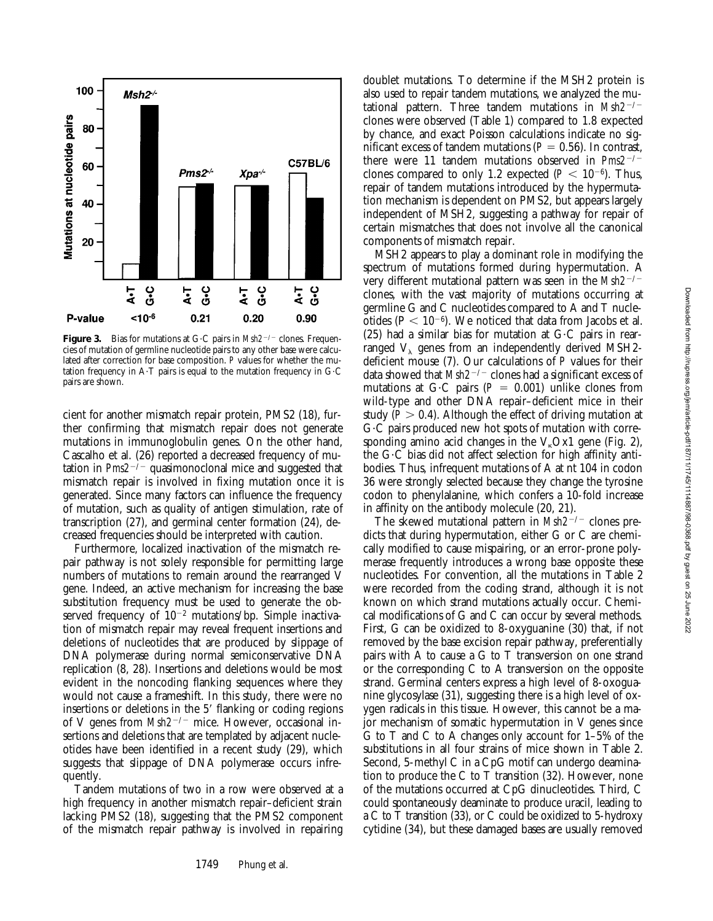

**Figure 3.** Bias for mutations at G·C pairs in *Msh2<sup>-/-</sup>* clones. Frequencies of mutation of germline nucleotide pairs to any other base were calculated after correction for base composition. *P* values for whether the mutation frequency in A $\cdot$ T pairs is equal to the mutation frequency in G $\cdot$ C pairs are shown.

cient for another mismatch repair protein, PMS2 (18), further confirming that mismatch repair does not generate mutations in immunoglobulin genes. On the other hand, Cascalho et al. (26) reported a decreased frequency of mutation in  $Pms2^{-/-}$  quasimonoclonal mice and suggested that mismatch repair is involved in fixing mutation once it is generated. Since many factors can influence the frequency of mutation, such as quality of antigen stimulation, rate of transcription (27), and germinal center formation (24), decreased frequencies should be interpreted with caution.

Furthermore, localized inactivation of the mismatch repair pathway is not solely responsible for permitting large numbers of mutations to remain around the rearranged V gene. Indeed, an active mechanism for increasing the base substitution frequency must be used to generate the observed frequency of  $10^{-2}$  mutations/bp. Simple inactivation of mismatch repair may reveal frequent insertions and deletions of nucleotides that are produced by slippage of DNA polymerase during normal semiconservative DNA replication (8, 28). Insertions and deletions would be most evident in the noncoding flanking sequences where they would not cause a frameshift. In this study, there were no insertions or deletions in the 5' flanking or coding regions of V genes from *Msh2<sup>-/-</sup>* mice. However, occasional insertions and deletions that are templated by adjacent nucleotides have been identified in a recent study (29), which suggests that slippage of DNA polymerase occurs infrequently.

Tandem mutations of two in a row were observed at a high frequency in another mismatch repair–deficient strain lacking PMS2 (18), suggesting that the PMS2 component of the mismatch repair pathway is involved in repairing doublet mutations. To determine if the MSH2 protein is also used to repair tandem mutations, we analyzed the mutational pattern. Three tandem mutations in  $Msh2^{-/-}$ clones were observed (Table 1) compared to 1.8 expected by chance, and exact Poisson calculations indicate no significant excess of tandem mutations ( $P = 0.56$ ). In contrast, there were 11 tandem mutations observed in  $Pms2^{-/-}$ clones compared to only 1.2 expected  $(P < 10^{-6})$ . Thus, repair of tandem mutations introduced by the hypermutation mechanism is dependent on PMS2, but appears largely independent of MSH2, suggesting a pathway for repair of certain mismatches that does not involve all the canonical components of mismatch repair.

MSH2 appears to play a dominant role in modifying the spectrum of mutations formed during hypermutation. A very different mutational pattern was seen in the Msh2<sup>-/-</sup> clones, with the vast majority of mutations occurring at germline G and C nucleotides compared to A and T nucleotides ( $P < 10^{-6}$ ). We noticed that data from Jacobs et al. (25) had a similar bias for mutation at  $G \cdot C$  pairs in rearranged  $V_{\lambda}$  genes from an independently derived MSH2deficient mouse (7). Our calculations of *P* values for their data showed that *Msh2<sup>-/-</sup>* clones had a significant excess of mutations at G·C pairs ( $P = 0.001$ ) unlike clones from wild-type and other DNA repair–deficient mice in their study  $(P > 0.4)$ . Although the effect of driving mutation at G·C pairs produced new hot spots of mutation with corresponding amino acid changes in the  $V<sub>k</sub>$ Ox1 gene (Fig. 2), the  $G \cdot C$  bias did not affect selection for high affinity antibodies. Thus, infrequent mutations of A at nt 104 in codon 36 were strongly selected because they change the tyrosine codon to phenylalanine, which confers a 10-fold increase in affinity on the antibody molecule (20, 21).

The skewed mutational pattern in  $Msh2^{-/-}$  clones predicts that during hypermutation, either G or C are chemically modified to cause mispairing, or an error-prone polymerase frequently introduces a wrong base opposite these nucleotides. For convention, all the mutations in Table 2 were recorded from the coding strand, although it is not known on which strand mutations actually occur. Chemical modifications of G and C can occur by several methods. First, G can be oxidized to 8-oxyguanine (30) that, if not removed by the base excision repair pathway, preferentially pairs with A to cause a G to T transversion on one strand or the corresponding C to A transversion on the opposite strand. Germinal centers express a high level of 8-oxoguanine glycosylase (31), suggesting there is a high level of oxygen radicals in this tissue. However, this cannot be a major mechanism of somatic hypermutation in V genes since G to T and C to A changes only account for 1–5% of the substitutions in all four strains of mice shown in Table 2. Second, 5-methyl C in a CpG motif can undergo deamination to produce the C to T transition (32). However, none of the mutations occurred at CpG dinucleotides. Third, C could spontaneously deaminate to produce uracil, leading to a C to T transition (33), or C could be oxidized to 5-hydroxy cytidine (34), but these damaged bases are usually removed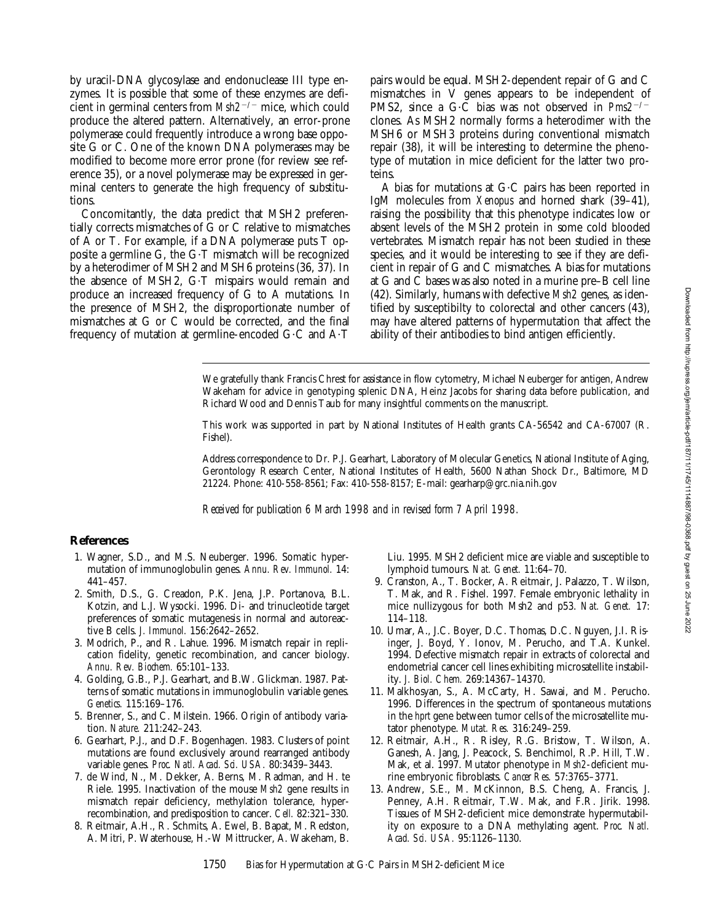by uracil-DNA glycosylase and endonuclease III type enzymes. It is possible that some of these enzymes are deficient in germinal centers from  $Msh2^{-/-}$  mice, which could produce the altered pattern. Alternatively, an error-prone polymerase could frequently introduce a wrong base opposite G or C. One of the known DNA polymerases may be modified to become more error prone (for review see reference 35), or a novel polymerase may be expressed in germinal centers to generate the high frequency of substitutions.

Concomitantly, the data predict that MSH2 preferentially corrects mismatches of G or C relative to mismatches of A or T. For example, if a DNA polymerase puts T opposite a germline G, the  $G$ -T mismatch will be recognized by a heterodimer of MSH2 and MSH6 proteins (36, 37). In the absence of MSH2, G·T mispairs would remain and produce an increased frequency of G to A mutations. In the presence of MSH2, the disproportionate number of mismatches at G or C would be corrected, and the final frequency of mutation at germline-encoded  $G \cdot C$  and  $A \cdot T$ 

pairs would be equal. MSH2-dependent repair of G and C mismatches in V genes appears to be independent of PMS2, since a G·C bias was not observed in  $Pms2^{-/-}$ clones. As MSH2 normally forms a heterodimer with the MSH6 or MSH3 proteins during conventional mismatch repair (38), it will be interesting to determine the phenotype of mutation in mice deficient for the latter two proteins.

A bias for mutations at  $G \cdot C$  pairs has been reported in IgM molecules from *Xenopus* and horned shark (39–41), raising the possibility that this phenotype indicates low or absent levels of the MSH2 protein in some cold blooded vertebrates. Mismatch repair has not been studied in these species, and it would be interesting to see if they are deficient in repair of G and C mismatches. A bias for mutations at G and C bases was also noted in a murine pre–B cell line (42). Similarly, humans with defective *Msh2* genes, as identified by susceptibilty to colorectal and other cancers (43), may have altered patterns of hypermutation that affect the ability of their antibodies to bind antigen efficiently.

We gratefully thank Francis Chrest for assistance in flow cytometry, Michael Neuberger for antigen, Andrew Wakeham for advice in genotyping splenic DNA, Heinz Jacobs for sharing data before publication, and Richard Wood and Dennis Taub for many insightful comments on the manuscript.

This work was supported in part by National Institutes of Health grants CA-56542 and CA-67007 (R. Fishel).

Address correspondence to Dr. P.J. Gearhart, Laboratory of Molecular Genetics, National Institute of Aging, Gerontology Research Center, National Institutes of Health, 5600 Nathan Shock Dr., Baltimore, MD 21224. Phone: 410-558-8561; Fax: 410-558-8157; E-mail: gearharp@grc.nia.nih.gov

*Received for publication 6 March 1998 and in revised form 7 April 1998.*

### **References**

- 1. Wagner, S.D., and M.S. Neuberger. 1996. Somatic hypermutation of immunoglobulin genes. *Annu. Rev. Immunol.* 14: 441–457.
- 2. Smith, D.S., G. Creadon, P.K. Jena, J.P. Portanova, B.L. Kotzin, and L.J. Wysocki. 1996. Di- and trinucleotide target preferences of somatic mutagenesis in normal and autoreactive B cells. *J. Immunol.* 156:2642–2652.
- 3. Modrich, P., and R. Lahue. 1996. Mismatch repair in replication fidelity, genetic recombination, and cancer biology. *Annu. Rev. Biochem.* 65:101–133.
- 4. Golding, G.B., P.J. Gearhart, and B.W. Glickman. 1987. Patterns of somatic mutations in immunoglobulin variable genes. *Genetics.* 115:169–176.
- 5. Brenner, S., and C. Milstein. 1966. Origin of antibody variation. *Nature.* 211:242–243.
- 6. Gearhart, P.J., and D.F. Bogenhagen. 1983. Clusters of point mutations are found exclusively around rearranged antibody variable genes. *Proc. Natl. Acad. Sci. USA.* 80:3439–3443.
- 7. de Wind, N., M. Dekker, A. Berns, M. Radman, and H. te Riele. 1995. Inactivation of the mouse *Msh2* gene results in mismatch repair deficiency, methylation tolerance, hyperrecombination, and predisposition to cancer. *Cell.* 82:321–330.
- 8. Reitmair, A.H., R. Schmits, A. Ewel, B. Bapat, M. Redston, A. Mitri, P. Waterhouse, H.-W Mittrucker, A. Wakeham, B.

Liu. 1995. MSH2 deficient mice are viable and susceptible to lymphoid tumours. *Nat. Genet.* 11:64–70.

- 9. Cranston, A., T. Bocker, A. Reitmair, J. Palazzo, T. Wilson, T. Mak, and R. Fishel. 1997. Female embryonic lethality in mice nullizygous for both Msh2 and p53. *Nat. Genet.* 17: 114–118.
- 10. Umar, A., J.C. Boyer, D.C. Thomas, D.C. Nguyen, J.I. Risinger, J. Boyd, Y. Ionov, M. Perucho, and T.A. Kunkel. 1994. Defective mismatch repair in extracts of colorectal and endometrial cancer cell lines exhibiting microsatellite instability. *J. Biol. Chem.* 269:14367–14370.
- 11. Malkhosyan, S., A. McCarty, H. Sawai, and M. Perucho. 1996. Differences in the spectrum of spontaneous mutations in the *hprt* gene between tumor cells of the microsatellite mutator phenotype. *Mutat. Res.* 316:249–259.
- 12. Reitmair, A.H., R. Risley, R.G. Bristow, T. Wilson, A. Ganesh, A. Jang, J. Peacock, S. Benchimol, R.P. Hill, T.W. Mak, et al. 1997. Mutator phenotype in *Msh2*-deficient murine embryonic fibroblasts. *Cancer Res.* 57:3765–3771.
- 13. Andrew, S.E., M. McKinnon, B.S. Cheng, A. Francis, J. Penney, A.H. Reitmair, T.W. Mak, and F.R. Jirik. 1998. Tissues of MSH2-deficient mice demonstrate hypermutability on exposure to a DNA methylating agent. *Proc. Natl. Acad. Sci. USA.* 95:1126–1130.